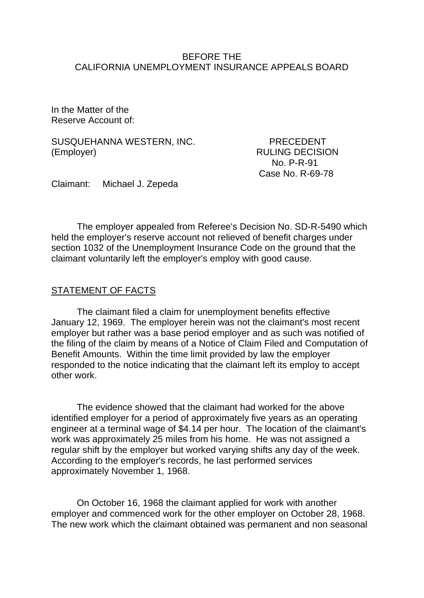### BEFORE THE CALIFORNIA UNEMPLOYMENT INSURANCE APPEALS BOARD

In the Matter of the Reserve Account of:

SUSQUEHANNA WESTERN, INC. PRECEDENT (Employer) RULING DECISION

 No. P-R-91 Case No. R-69-78

Claimant: Michael J. Zepeda

The employer appealed from Referee's Decision No. SD-R-5490 which held the employer's reserve account not relieved of benefit charges under section 1032 of the Unemployment Insurance Code on the ground that the claimant voluntarily left the employer's employ with good cause.

### STATEMENT OF FACTS

The claimant filed a claim for unemployment benefits effective January 12, 1969. The employer herein was not the claimant's most recent employer but rather was a base period employer and as such was notified of the filing of the claim by means of a Notice of Claim Filed and Computation of Benefit Amounts. Within the time limit provided by law the employer responded to the notice indicating that the claimant left its employ to accept other work.

The evidence showed that the claimant had worked for the above identified employer for a period of approximately five years as an operating engineer at a terminal wage of \$4.14 per hour. The location of the claimant's work was approximately 25 miles from his home. He was not assigned a regular shift by the employer but worked varying shifts any day of the week. According to the employer's records, he last performed services approximately November 1, 1968.

On October 16, 1968 the claimant applied for work with another employer and commenced work for the other employer on October 28, 1968. The new work which the claimant obtained was permanent and non seasonal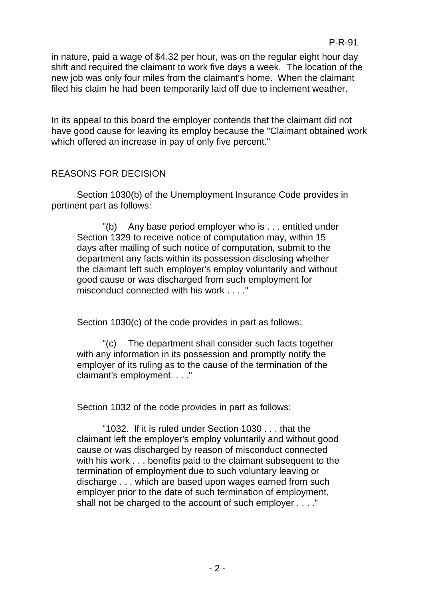in nature, paid a wage of \$4.32 per hour, was on the regular eight hour day shift and required the claimant to work five days a week. The location of the new job was only four miles from the claimant's home. When the claimant filed his claim he had been temporarily laid off due to inclement weather.

In its appeal to this board the employer contends that the claimant did not have good cause for leaving its employ because the "Claimant obtained work which offered an increase in pay of only five percent."

## REASONS FOR DECISION

Section 1030(b) of the Unemployment Insurance Code provides in pertinent part as follows:

"(b) Any base period employer who is . . . entitled under Section 1329 to receive notice of computation may, within 15 days after mailing of such notice of computation, submit to the department any facts within its possession disclosing whether the claimant left such employer's employ voluntarily and without good cause or was discharged from such employment for misconduct connected with his work . . . ."

Section 1030(c) of the code provides in part as follows:

"(c) The department shall consider such facts together with any information in its possession and promptly notify the employer of its ruling as to the cause of the termination of the claimant's employment. . . ."

Section 1032 of the code provides in part as follows:

"1032. If it is ruled under Section 1030 . . . that the claimant left the employer's employ voluntarily and without good cause or was discharged by reason of misconduct connected with his work . . . benefits paid to the claimant subsequent to the termination of employment due to such voluntary leaving or discharge . . . which are based upon wages earned from such employer prior to the date of such termination of employment, shall not be charged to the account of such employer . . . ."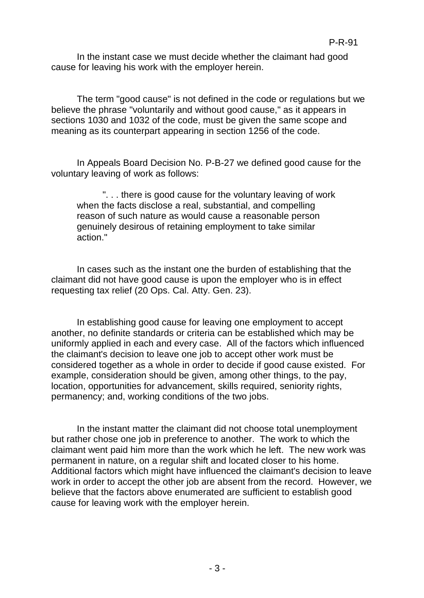In the instant case we must decide whether the claimant had good cause for leaving his work with the employer herein.

The term "good cause" is not defined in the code or regulations but we believe the phrase "voluntarily and without good cause," as it appears in sections 1030 and 1032 of the code, must be given the same scope and meaning as its counterpart appearing in section 1256 of the code.

In Appeals Board Decision No. P-B-27 we defined good cause for the voluntary leaving of work as follows:

". . . there is good cause for the voluntary leaving of work when the facts disclose a real, substantial, and compelling reason of such nature as would cause a reasonable person genuinely desirous of retaining employment to take similar action."

In cases such as the instant one the burden of establishing that the claimant did not have good cause is upon the employer who is in effect requesting tax relief (20 Ops. Cal. Atty. Gen. 23).

In establishing good cause for leaving one employment to accept another, no definite standards or criteria can be established which may be uniformly applied in each and every case. All of the factors which influenced the claimant's decision to leave one job to accept other work must be considered together as a whole in order to decide if good cause existed. For example, consideration should be given, among other things, to the pay, location, opportunities for advancement, skills required, seniority rights, permanency; and, working conditions of the two jobs.

In the instant matter the claimant did not choose total unemployment but rather chose one job in preference to another. The work to which the claimant went paid him more than the work which he left. The new work was permanent in nature, on a regular shift and located closer to his home. Additional factors which might have influenced the claimant's decision to leave work in order to accept the other job are absent from the record. However, we believe that the factors above enumerated are sufficient to establish good cause for leaving work with the employer herein.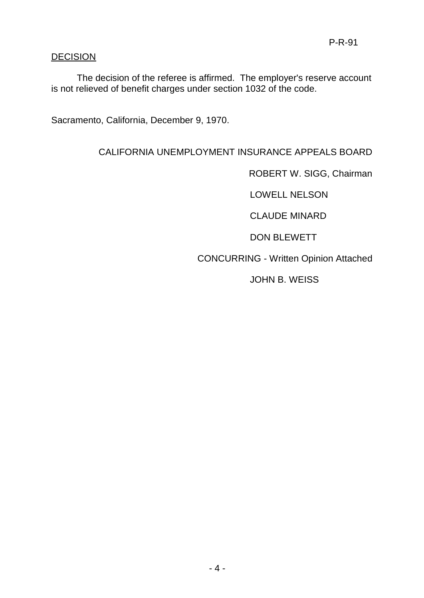# **DECISION**

The decision of the referee is affirmed. The employer's reserve account is not relieved of benefit charges under section 1032 of the code.

Sacramento, California, December 9, 1970.

## CALIFORNIA UNEMPLOYMENT INSURANCE APPEALS BOARD

ROBERT W. SIGG, Chairman

LOWELL NELSON

CLAUDE MINARD

DON BLEWETT

CONCURRING - Written Opinion Attached

JOHN B. WEISS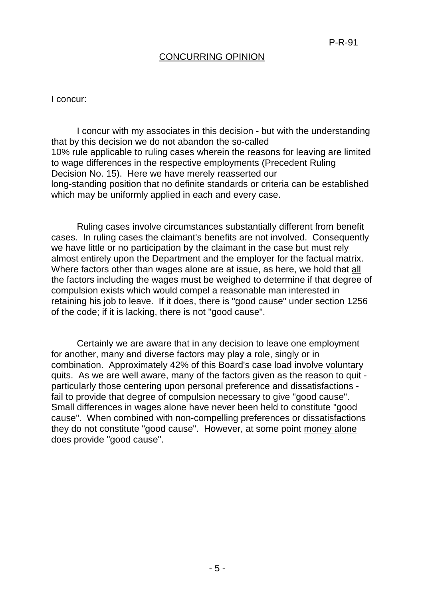### CONCURRING OPINION

I concur:

I concur with my associates in this decision - but with the understanding that by this decision we do not abandon the so-called 10% rule applicable to ruling cases wherein the reasons for leaving are limited to wage differences in the respective employments (Precedent Ruling Decision No. 15). Here we have merely reasserted our long-standing position that no definite standards or criteria can be established which may be uniformly applied in each and every case.

Ruling cases involve circumstances substantially different from benefit cases. In ruling cases the claimant's benefits are not involved. Consequently we have little or no participation by the claimant in the case but must rely almost entirely upon the Department and the employer for the factual matrix. Where factors other than wages alone are at issue, as here, we hold that all the factors including the wages must be weighed to determine if that degree of compulsion exists which would compel a reasonable man interested in retaining his job to leave. If it does, there is "good cause" under section 1256 of the code; if it is lacking, there is not "good cause".

Certainly we are aware that in any decision to leave one employment for another, many and diverse factors may play a role, singly or in combination. Approximately 42% of this Board's case load involve voluntary quits. As we are well aware, many of the factors given as the reason to quit particularly those centering upon personal preference and dissatisfactions fail to provide that degree of compulsion necessary to give "good cause". Small differences in wages alone have never been held to constitute "good cause". When combined with non-compelling preferences or dissatisfactions they do not constitute "good cause". However, at some point money alone does provide "good cause".